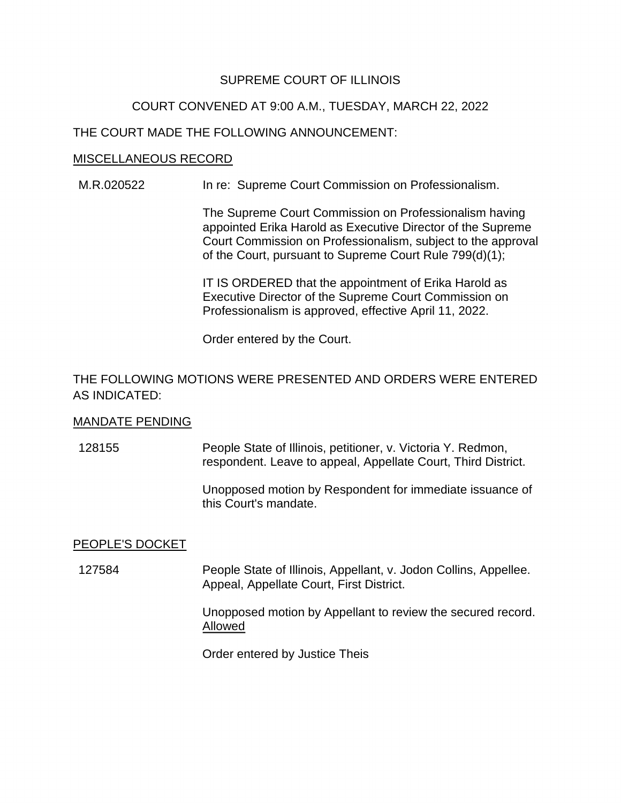## SUPREME COURT OF ILLINOIS

# COURT CONVENED AT 9:00 A.M., TUESDAY, MARCH 22, 2022

## THE COURT MADE THE FOLLOWING ANNOUNCEMENT:

#### MISCELLANEOUS RECORD

M.R.020522 In re: Supreme Court Commission on Professionalism.

The Supreme Court Commission on Professionalism having appointed Erika Harold as Executive Director of the Supreme Court Commission on Professionalism, subject to the approval of the Court, pursuant to Supreme Court Rule 799(d)(1);

 Professionalism is approved, effective April 11, 2022. IT IS ORDERED that the appointment of Erika Harold as Executive Director of the Supreme Court Commission on

Order entered by the Court.

# THE FOLLOWING MOTIONS WERE PRESENTED AND ORDERS WERE ENTERED AS INDICATED:

### MANDATE PENDING

128155 People State of Illinois, petitioner, v. Victoria Y. Redmon, respondent. Leave to appeal, Appellate Court, Third District.

> Unopposed motion by Respondent for immediate issuance of this Court's mandate.

### PEOPLE'S DOCKET

127584 People State of Illinois, Appellant, v. Jodon Collins, Appellee. Appeal, Appellate Court, First District.

> Unopposed motion by Appellant to review the secured record. Allowed

Order entered by Justice Theis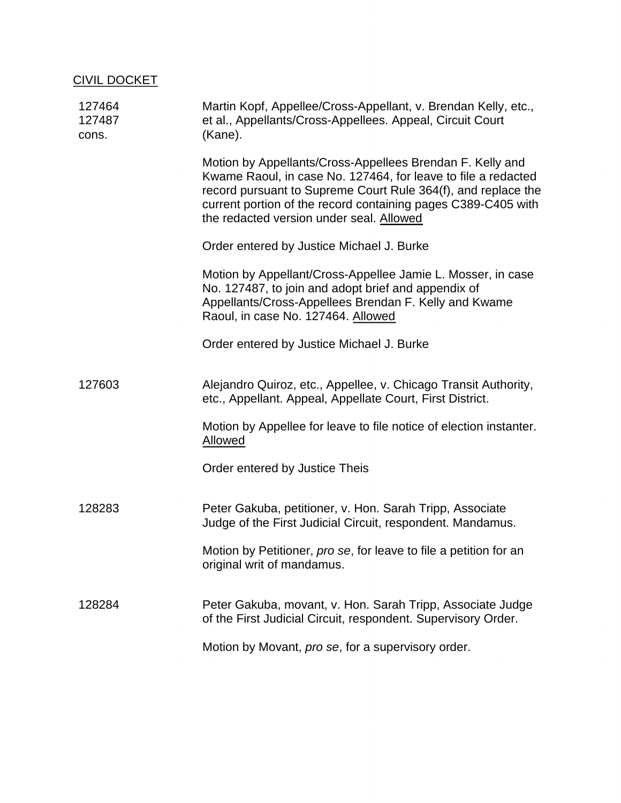| <b>CIVIL DOCKET</b>       |                                                                                                                                                                                                                                                                                                          |
|---------------------------|----------------------------------------------------------------------------------------------------------------------------------------------------------------------------------------------------------------------------------------------------------------------------------------------------------|
| 127464<br>127487<br>cons. | Martin Kopf, Appellee/Cross-Appellant, v. Brendan Kelly, etc.,<br>et al., Appellants/Cross-Appellees. Appeal, Circuit Court<br>(Kane).                                                                                                                                                                   |
|                           | Motion by Appellants/Cross-Appellees Brendan F. Kelly and<br>Kwame Raoul, in case No. 127464, for leave to file a redacted<br>record pursuant to Supreme Court Rule 364(f), and replace the<br>current portion of the record containing pages C389-C405 with<br>the redacted version under seal. Allowed |
|                           | Order entered by Justice Michael J. Burke                                                                                                                                                                                                                                                                |
|                           | Motion by Appellant/Cross-Appellee Jamie L. Mosser, in case<br>No. 127487, to join and adopt brief and appendix of<br>Appellants/Cross-Appellees Brendan F. Kelly and Kwame<br>Raoul, in case No. 127464. Allowed                                                                                        |
|                           | Order entered by Justice Michael J. Burke                                                                                                                                                                                                                                                                |
| 127603                    | Alejandro Quiroz, etc., Appellee, v. Chicago Transit Authority,<br>etc., Appellant. Appeal, Appellate Court, First District.                                                                                                                                                                             |
|                           | Motion by Appellee for leave to file notice of election instanter.<br><b>Allowed</b>                                                                                                                                                                                                                     |
|                           | Order entered by Justice Theis                                                                                                                                                                                                                                                                           |
| 128283                    | Peter Gakuba, petitioner, v. Hon. Sarah Tripp, Associate<br>Judge of the First Judicial Circuit, respondent. Mandamus.                                                                                                                                                                                   |
|                           | Motion by Petitioner, pro se, for leave to file a petition for an<br>original writ of mandamus.                                                                                                                                                                                                          |
| 128284                    | Peter Gakuba, movant, v. Hon. Sarah Tripp, Associate Judge<br>of the First Judicial Circuit, respondent. Supervisory Order.                                                                                                                                                                              |
|                           | Motion by Movant, pro se, for a supervisory order.                                                                                                                                                                                                                                                       |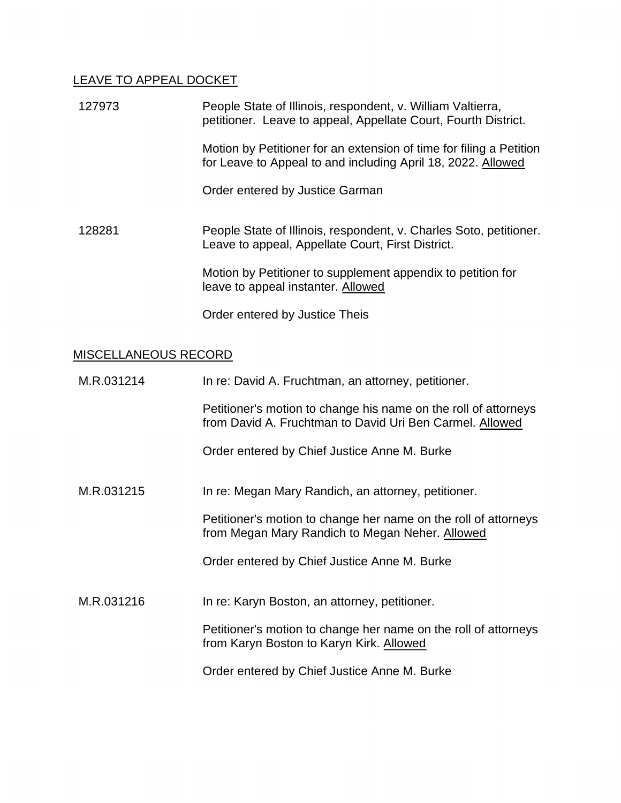# LEAVE TO APPEAL DOCKET

| 127973 | People State of Illinois, respondent, v. William Valtierra,<br>petitioner. Leave to appeal, Appellate Court, Fourth District.       |
|--------|-------------------------------------------------------------------------------------------------------------------------------------|
|        | Motion by Petitioner for an extension of time for filing a Petition<br>for Leave to Appeal to and including April 18, 2022. Allowed |
|        | Order entered by Justice Garman                                                                                                     |
| 128281 | People State of Illinois, respondent, v. Charles Soto, petitioner.<br>Leave to appeal, Appellate Court, First District.             |
|        | Motion by Petitioner to supplement appendix to petition for<br>leave to appeal instanter. Allowed                                   |
|        | Order entered by Justice Theis                                                                                                      |

# MISCELLANEOUS RECORD

| M.R.031214 | In re: David A. Fruchtman, an attorney, petitioner.                                                                         |
|------------|-----------------------------------------------------------------------------------------------------------------------------|
|            | Petitioner's motion to change his name on the roll of attorneys<br>from David A. Fruchtman to David Uri Ben Carmel. Allowed |
|            | Order entered by Chief Justice Anne M. Burke                                                                                |
| M.R.031215 | In re: Megan Mary Randich, an attorney, petitioner.                                                                         |
|            | Petitioner's motion to change her name on the roll of attorneys<br>from Megan Mary Randich to Megan Neher. Allowed          |
|            | Order entered by Chief Justice Anne M. Burke                                                                                |
| M.R.031216 | In re: Karyn Boston, an attorney, petitioner.                                                                               |
|            | Petitioner's motion to change her name on the roll of attorneys<br>from Karyn Boston to Karyn Kirk. Allowed                 |
|            | Order entered by Chief Justice Anne M. Burke                                                                                |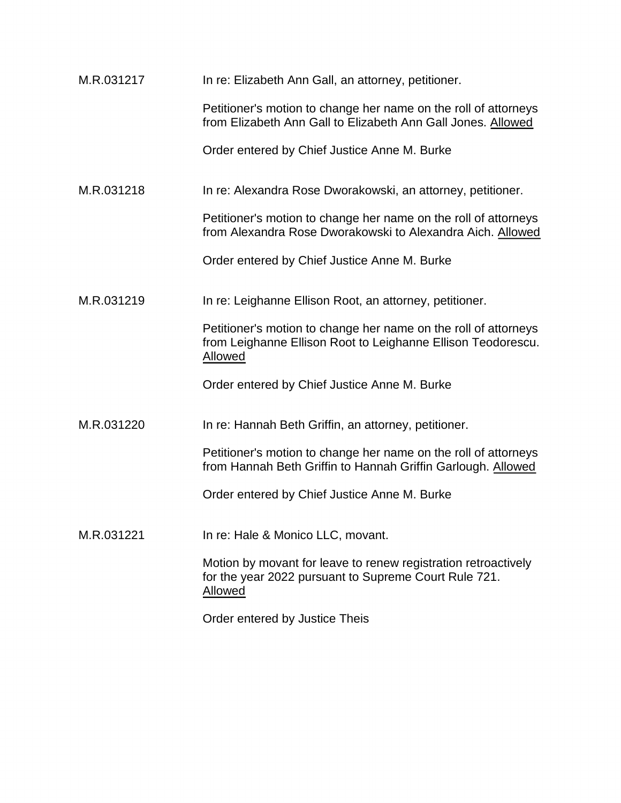| M.R.031217 | In re: Elizabeth Ann Gall, an attorney, petitioner.                                                                                               |
|------------|---------------------------------------------------------------------------------------------------------------------------------------------------|
|            | Petitioner's motion to change her name on the roll of attorneys<br>from Elizabeth Ann Gall to Elizabeth Ann Gall Jones. Allowed                   |
|            | Order entered by Chief Justice Anne M. Burke                                                                                                      |
| M.R.031218 | In re: Alexandra Rose Dworakowski, an attorney, petitioner.                                                                                       |
|            | Petitioner's motion to change her name on the roll of attorneys<br>from Alexandra Rose Dworakowski to Alexandra Aich. Allowed                     |
|            | Order entered by Chief Justice Anne M. Burke                                                                                                      |
| M.R.031219 | In re: Leighanne Ellison Root, an attorney, petitioner.                                                                                           |
|            | Petitioner's motion to change her name on the roll of attorneys<br>from Leighanne Ellison Root to Leighanne Ellison Teodorescu.<br><b>Allowed</b> |
|            | Order entered by Chief Justice Anne M. Burke                                                                                                      |
| M.R.031220 | In re: Hannah Beth Griffin, an attorney, petitioner.                                                                                              |
|            | Petitioner's motion to change her name on the roll of attorneys<br>from Hannah Beth Griffin to Hannah Griffin Garlough. Allowed                   |
|            | Order entered by Chief Justice Anne M. Burke                                                                                                      |
| M.R.031221 | In re: Hale & Monico LLC, movant.                                                                                                                 |
|            | Motion by movant for leave to renew registration retroactively<br>for the year 2022 pursuant to Supreme Court Rule 721.<br>Allowed                |
|            | Order entered by Justice Theis                                                                                                                    |